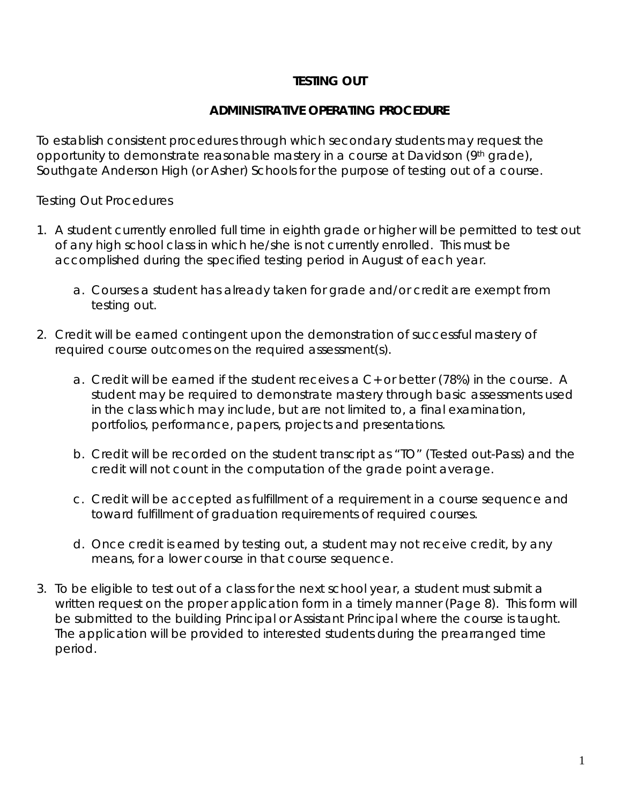# **TESTING OUT**

## **ADMINISTRATIVE OPERATING PROCEDURE**

To establish consistent procedures through which secondary students may request the opportunity to demonstrate reasonable mastery in a course at Davidson (9th grade), Southgate Anderson High (or Asher) Schools for the purpose of testing out of a course.

Testing Out Procedures

- 1. A student currently enrolled full time in eighth grade or higher will be permitted to test out of any high school class in which he/she is not currently enrolled. This must be accomplished during the specified testing period in August of each year.
	- a. Courses a student has already taken for grade and/or credit are exempt from testing out.
- 2. Credit will be earned contingent upon the demonstration of successful mastery of required course outcomes on the required assessment(s).
	- a. Credit will be earned if the student receives a C+ or better (78%) in the course. A student may be required to demonstrate mastery through basic assessments used in the class which may include, but are not limited to, a final examination, portfolios, performance, papers, projects and presentations.
	- b. Credit will be recorded on the student transcript as "TO" (Tested out-Pass) and the credit will not count in the computation of the grade point average.
	- c. Credit will be accepted as fulfillment of a requirement in a course sequence and toward fulfillment of graduation requirements of required courses.
	- d. Once credit is earned by testing out, a student may not receive credit, by any means, for a lower course in that course sequence.
- 3. To be eligible to test out of a class for the next school year, a student must submit a written request on the proper application form in a timely manner (Page 8). This form will be submitted to the building Principal or Assistant Principal where the course is taught. The application will be provided to interested students during the prearranged time period.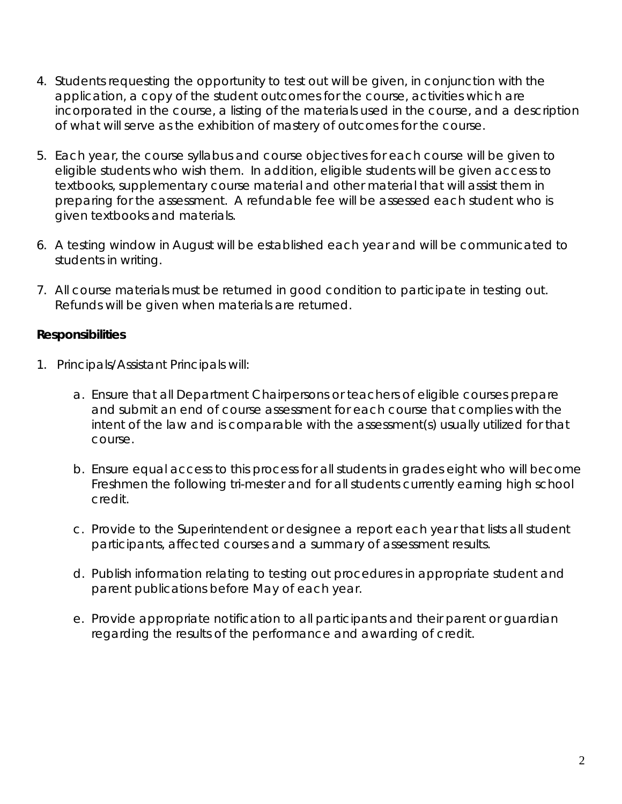- 4. Students requesting the opportunity to test out will be given, in conjunction with the application, a copy of the student outcomes for the course, activities which are incorporated in the course, a listing of the materials used in the course, and a description of what will serve as the exhibition of mastery of outcomes for the course.
- 5. Each year, the course syllabus and course objectives for each course will be given to eligible students who wish them. In addition, eligible students will be given access to textbooks, supplementary course material and other material that will assist them in preparing for the assessment. A refundable fee will be assessed each student who is given textbooks and materials.
- 6. A testing window in August will be established each year and will be communicated to students in writing.
- 7. All course materials must be returned in good condition to participate in testing out. Refunds will be given when materials are returned.

## **Responsibilities**

- 1. Principals/Assistant Principals will:
	- a. Ensure that all Department Chairpersons or teachers of eligible courses prepare and submit an end of course assessment for each course that complies with the intent of the law and is comparable with the assessment(s) usually utilized for that course.
	- b. Ensure equal access to this process for all students in grades eight who will become Freshmen the following tri-mester and for all students currently earning high school credit.
	- c. Provide to the Superintendent or designee a report each year that lists all student participants, affected courses and a summary of assessment results.
	- d. Publish information relating to testing out procedures in appropriate student and parent publications before May of each year.
	- e. Provide appropriate notification to all participants and their parent or guardian regarding the results of the performance and awarding of credit.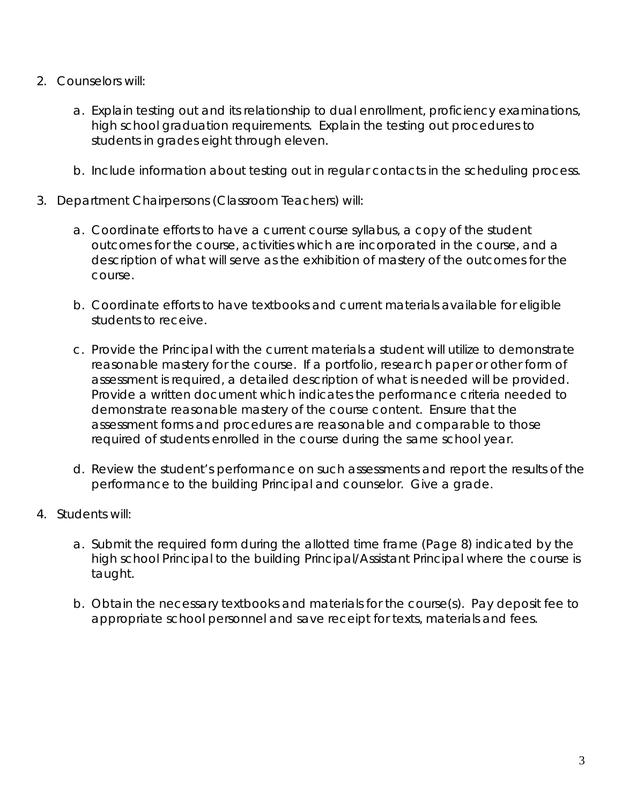- 2. Counselors will:
	- a. Explain testing out and its relationship to dual enrollment, proficiency examinations, high school graduation requirements. Explain the testing out procedures to students in grades eight through eleven.
	- b. Include information about testing out in regular contacts in the scheduling process.
- 3. Department Chairpersons (Classroom Teachers) will:
	- a. Coordinate efforts to have a current course syllabus, a copy of the student outcomes for the course, activities which are incorporated in the course, and a description of what will serve as the exhibition of mastery of the outcomes for the course.
	- b. Coordinate efforts to have textbooks and current materials available for eligible students to receive.
	- c. Provide the Principal with the current materials a student will utilize to demonstrate reasonable mastery for the course. If a portfolio, research paper or other form of assessment is required, a detailed description of what is needed will be provided. Provide a written document which indicates the performance criteria needed to demonstrate reasonable mastery of the course content. Ensure that the assessment forms and procedures are reasonable and comparable to those required of students enrolled in the course during the same school year.
	- d. Review the student's performance on such assessments and report the results of the performance to the building Principal and counselor. Give a grade.
- 4. Students will:
	- a. Submit the required form during the allotted time frame (Page 8) indicated by the high school Principal to the building Principal/Assistant Principal where the course is taught.
	- b. Obtain the necessary textbooks and materials for the course(s). Pay deposit fee to appropriate school personnel and save receipt for texts, materials and fees.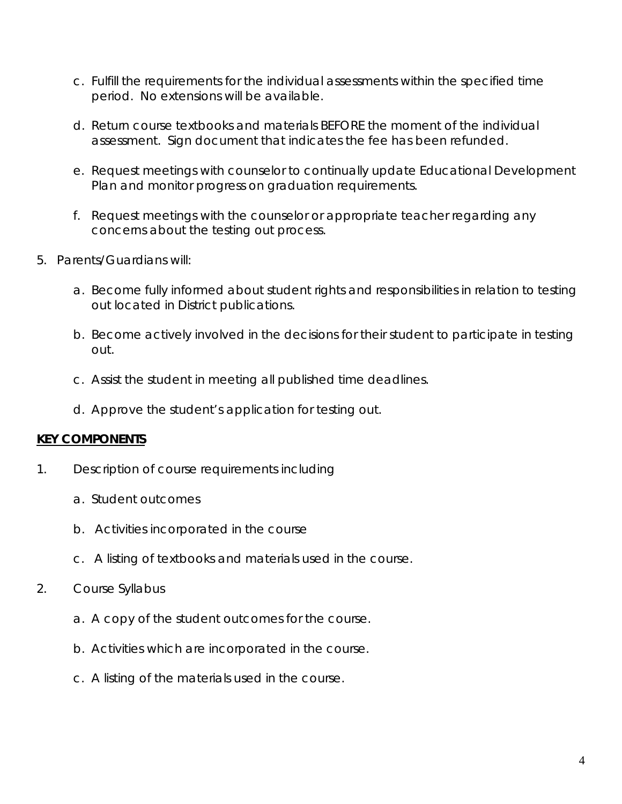- c. Fulfill the requirements for the individual assessments within the specified time period. No extensions will be available.
- d. Return course textbooks and materials BEFORE the moment of the individual assessment. Sign document that indicates the fee has been refunded.
- e. Request meetings with counselor to continually update Educational Development Plan and monitor progress on graduation requirements.
- f. Request meetings with the counselor or appropriate teacher regarding any concerns about the testing out process.
- 5. Parents/Guardians will:
	- a. Become fully informed about student rights and responsibilities in relation to testing out located in District publications.
	- b. Become actively involved in the decisions for their student to participate in testing out.
	- c. Assist the student in meeting all published time deadlines.
	- d. Approve the student's application for testing out.

## **KEY COMPONENTS**

- 1. Description of course requirements including
	- a. Student outcomes
	- b. Activities incorporated in the course
	- c. A listing of textbooks and materials used in the course.
- 2. Course Syllabus
	- a. A copy of the student outcomes for the course.
	- b. Activities which are incorporated in the course.
	- c. A listing of the materials used in the course.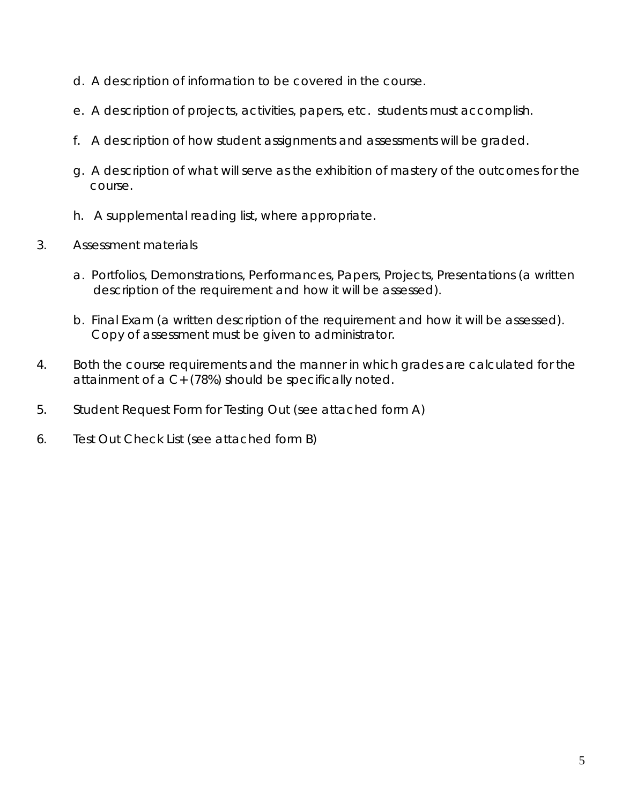- d. A description of information to be covered in the course.
- e. A description of projects, activities, papers, etc. students must accomplish.
- f. A description of how student assignments and assessments will be graded.
- g. A description of what will serve as the exhibition of mastery of the outcomes for the course.
- h. A supplemental reading list, where appropriate.
- 3. Assessment materials
	- a. Portfolios, Demonstrations, Performances, Papers, Projects, Presentations (a written description of the requirement and how it will be assessed).
	- b. Final Exam (a written description of the requirement and how it will be assessed). Copy of assessment must be given to administrator.
- 4. Both the course requirements and the manner in which grades are calculated for the attainment of a C+ (78%) should be specifically noted.
- 5. Student Request Form for Testing Out (see attached form A)
- 6. Test Out Check List (see attached form B)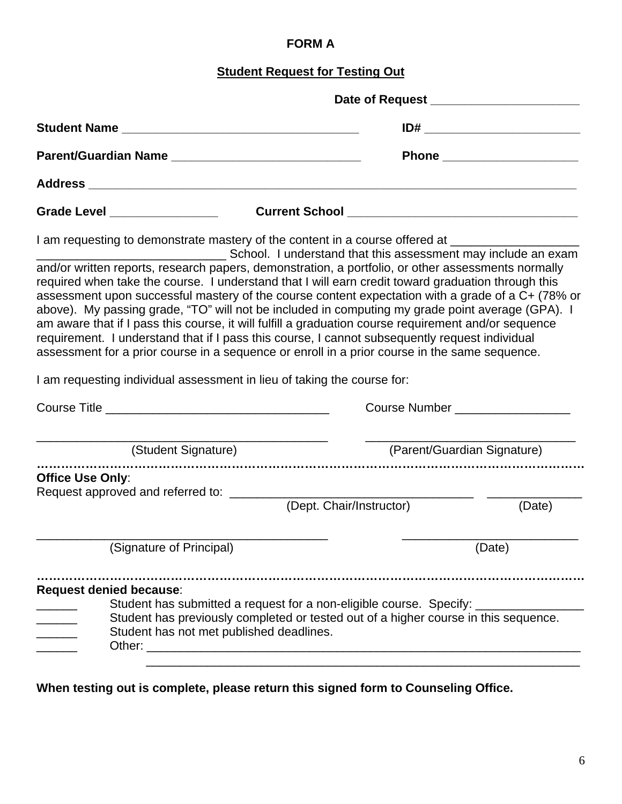# **FORM A**

## **Student Request for Testing Out**

| Parent/Guardian Name __________________________________                                                                                                                                                                                                                                                                                                                                                                                                                                                                                                                                                                                                                                                                                                                                                                             |                                                                                                                                                                                                                                      | Phone _____________________ |  |
|-------------------------------------------------------------------------------------------------------------------------------------------------------------------------------------------------------------------------------------------------------------------------------------------------------------------------------------------------------------------------------------------------------------------------------------------------------------------------------------------------------------------------------------------------------------------------------------------------------------------------------------------------------------------------------------------------------------------------------------------------------------------------------------------------------------------------------------|--------------------------------------------------------------------------------------------------------------------------------------------------------------------------------------------------------------------------------------|-----------------------------|--|
|                                                                                                                                                                                                                                                                                                                                                                                                                                                                                                                                                                                                                                                                                                                                                                                                                                     |                                                                                                                                                                                                                                      |                             |  |
| Grade Level __________________                                                                                                                                                                                                                                                                                                                                                                                                                                                                                                                                                                                                                                                                                                                                                                                                      |                                                                                                                                                                                                                                      |                             |  |
| I am requesting to demonstrate mastery of the content in a course offered at ______________________<br>and/or written reports, research papers, demonstration, a portfolio, or other assessments normally<br>required when take the course. I understand that I will earn credit toward graduation through this<br>assessment upon successful mastery of the course content expectation with a grade of a C+ (78% or<br>above). My passing grade, "TO" will not be included in computing my grade point average (GPA). I<br>am aware that if I pass this course, it will fulfill a graduation course requirement and/or sequence<br>requirement. I understand that if I pass this course, I cannot subsequently request individual<br>assessment for a prior course in a sequence or enroll in a prior course in the same sequence. | School. I understand that this assessment may include an exam                                                                                                                                                                        |                             |  |
| I am requesting individual assessment in lieu of taking the course for:                                                                                                                                                                                                                                                                                                                                                                                                                                                                                                                                                                                                                                                                                                                                                             |                                                                                                                                                                                                                                      |                             |  |
|                                                                                                                                                                                                                                                                                                                                                                                                                                                                                                                                                                                                                                                                                                                                                                                                                                     | Course Number <b>Course In the Second Second Second Second Second Second Second Second Second Second Second Second Second Second Second Second Second Second Second Second Second Second Second Second Second Second Second Seco</b> |                             |  |
| (Student Signature)                                                                                                                                                                                                                                                                                                                                                                                                                                                                                                                                                                                                                                                                                                                                                                                                                 |                                                                                                                                                                                                                                      | (Parent/Guardian Signature) |  |
| Office Use Only:                                                                                                                                                                                                                                                                                                                                                                                                                                                                                                                                                                                                                                                                                                                                                                                                                    |                                                                                                                                                                                                                                      |                             |  |
|                                                                                                                                                                                                                                                                                                                                                                                                                                                                                                                                                                                                                                                                                                                                                                                                                                     | (Dept. Chair/Instructor)                                                                                                                                                                                                             | (Date)                      |  |
| (Signature of Principal)                                                                                                                                                                                                                                                                                                                                                                                                                                                                                                                                                                                                                                                                                                                                                                                                            |                                                                                                                                                                                                                                      | (Date)                      |  |
| <b>Request denied because:</b><br>Student has not met published deadlines.                                                                                                                                                                                                                                                                                                                                                                                                                                                                                                                                                                                                                                                                                                                                                          | Student has submitted a request for a non-eligible course. Specify: ______<br>Student has previously completed or tested out of a higher course in this sequence.                                                                    |                             |  |

**When testing out is complete, please return this signed form to Counseling Office.**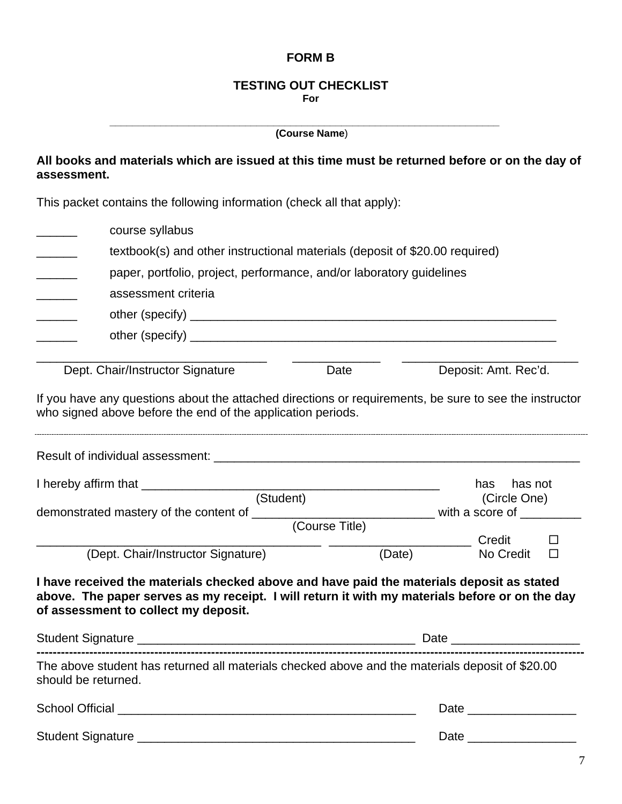## **FORM B**

#### **TESTING OUT CHECKLIST For**

|                                                                                                                                                                                                                                     | (Course Name)  |                            |  |  |
|-------------------------------------------------------------------------------------------------------------------------------------------------------------------------------------------------------------------------------------|----------------|----------------------------|--|--|
| All books and materials which are issued at this time must be returned before or on the day of<br>assessment.                                                                                                                       |                |                            |  |  |
| This packet contains the following information (check all that apply):                                                                                                                                                              |                |                            |  |  |
| course syllabus                                                                                                                                                                                                                     |                |                            |  |  |
| textbook(s) and other instructional materials (deposit of \$20.00 required)                                                                                                                                                         |                |                            |  |  |
| paper, portfolio, project, performance, and/or laboratory guidelines<br>$\frac{1}{1}$                                                                                                                                               |                |                            |  |  |
| assessment criteria                                                                                                                                                                                                                 |                |                            |  |  |
|                                                                                                                                                                                                                                     |                |                            |  |  |
|                                                                                                                                                                                                                                     |                |                            |  |  |
| Dept. Chair/Instructor Signature                                                                                                                                                                                                    | Date           | Deposit: Amt. Rec'd.       |  |  |
| If you have any questions about the attached directions or requirements, be sure to see the instructor<br>who signed above before the end of the application periods.                                                               |                |                            |  |  |
|                                                                                                                                                                                                                                     |                |                            |  |  |
|                                                                                                                                                                                                                                     |                | has not<br>has             |  |  |
| (Student)                                                                                                                                                                                                                           |                | (Circle One)               |  |  |
| demonstrated mastery of the content of _________________________________with a score of __________                                                                                                                                  | (Course Title) |                            |  |  |
|                                                                                                                                                                                                                                     |                | <b>Example 2018</b> Credit |  |  |
| (Dept. Chair/Instructor Signature)                                                                                                                                                                                                  | (Date)         | No Credit                  |  |  |
| I have received the materials checked above and have paid the materials deposit as stated<br>above. The paper serves as my receipt. I will return it with my materials before or on the day<br>of assessment to collect my deposit. |                |                            |  |  |
|                                                                                                                                                                                                                                     |                |                            |  |  |
| The above student has returned all materials checked above and the materials deposit of \$20.00<br>should be returned.                                                                                                              |                |                            |  |  |
|                                                                                                                                                                                                                                     |                |                            |  |  |
|                                                                                                                                                                                                                                     |                |                            |  |  |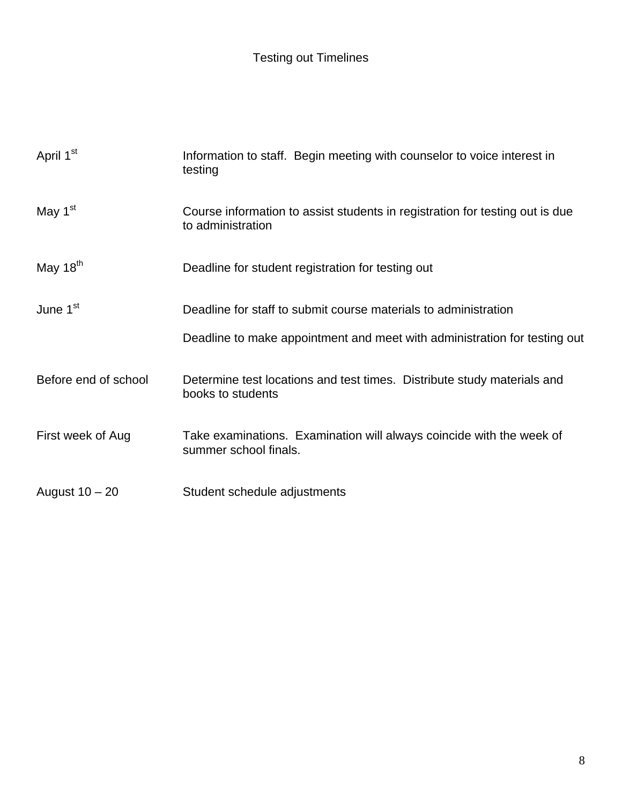| April 1 <sup>st</sup> | Information to staff. Begin meeting with counselor to voice interest in<br>testing                |
|-----------------------|---------------------------------------------------------------------------------------------------|
| May 1 <sup>st</sup>   | Course information to assist students in registration for testing out is due<br>to administration |
| May 18 <sup>th</sup>  | Deadline for student registration for testing out                                                 |
| June 1 <sup>st</sup>  | Deadline for staff to submit course materials to administration                                   |
|                       | Deadline to make appointment and meet with administration for testing out                         |
| Before end of school  | Determine test locations and test times. Distribute study materials and<br>books to students      |
| First week of Aug     | Take examinations. Examination will always coincide with the week of<br>summer school finals.     |
| August $10 - 20$      | Student schedule adjustments                                                                      |